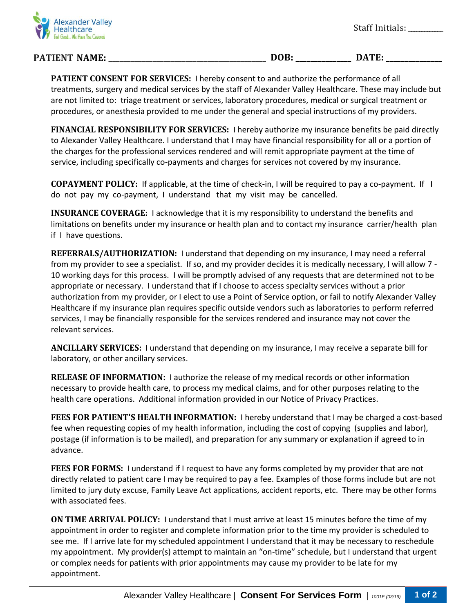

## **PATIENT NAME: \_\_\_\_\_\_\_\_\_\_\_\_\_\_\_\_\_\_\_\_\_\_\_\_\_\_\_\_\_\_\_\_\_\_\_\_\_\_\_\_\_\_\_ DOB: \_\_\_\_\_\_\_\_\_\_\_\_\_\_\_ DATE: \_\_\_\_\_\_\_\_\_\_\_\_\_\_\_**

**PATIENT CONSENT FOR SERVICES:** I hereby consent to and authorize the performance of all treatments, surgery and medical services by the staff of Alexander Valley Healthcare. These may include but are not limited to: triage treatment or services, laboratory procedures, medical or surgical treatment or procedures, or anesthesia provided to me under the general and special instructions of my providers.

**FINANCIAL RESPONSIBILITY FOR SERVICES:** I hereby authorize my insurance benefits be paid directly to Alexander Valley Healthcare. I understand that I may have financial responsibility for all or a portion of the charges for the professional services rendered and will remit appropriate payment at the time of service, including specifically co-payments and charges for services not covered by my insurance.

**COPAYMENT POLICY:** If applicable, at the time of check-in, I will be required to pay a co-payment. If I do not pay my co-payment, I understand that my visit may be cancelled.

**INSURANCE COVERAGE:** I acknowledge that it is my responsibility to understand the benefits and limitations on benefits under my insurance or health plan and to contact my insurance carrier/health plan if I have questions.

**REFERRALS/AUTHORIZATION:** I understand that depending on my insurance, I may need a referral from my provider to see a specialist. If so, and my provider decides it is medically necessary, I will allow 7 - 10 working days for this process. I will be promptly advised of any requests that are determined not to be appropriate or necessary. I understand that if I choose to access specialty services without a prior authorization from my provider, or I elect to use a Point of Service option, or fail to notify Alexander Valley Healthcare if my insurance plan requires specific outside vendors such as laboratories to perform referred services, I may be financially responsible for the services rendered and insurance may not cover the relevant services.

**ANCILLARY SERVICES:** I understand that depending on my insurance, I may receive a separate bill for laboratory, or other ancillary services.

**RELEASE OF INFORMATION:** I authorize the release of my medical records or other information necessary to provide health care, to process my medical claims, and for other purposes relating to the health care operations. Additional information provided in our Notice of Privacy Practices.

**FEES FOR PATIENT'S HEALTH INFORMATION:** I hereby understand that I may be charged a cost-based fee when requesting copies of my health information, including the cost of copying (supplies and labor), postage (if information is to be mailed), and preparation for any summary or explanation if agreed to in advance.

**FEES FOR FORMS:** I understand if I request to have any forms completed by my provider that are not directly related to patient care I may be required to pay a fee. Examples of those forms include but are not limited to jury duty excuse, Family Leave Act applications, accident reports, etc. There may be other forms with associated fees.

**ON TIME ARRIVAL POLICY:** I understand that I must arrive at least 15 minutes before the time of my appointment in order to register and complete information prior to the time my provider is scheduled to see me. If I arrive late for my scheduled appointment I understand that it may be necessary to reschedule my appointment. My provider(s) attempt to maintain an "on-time" schedule, but I understand that urgent or complex needs for patients with prior appointments may cause my provider to be late for my appointment.